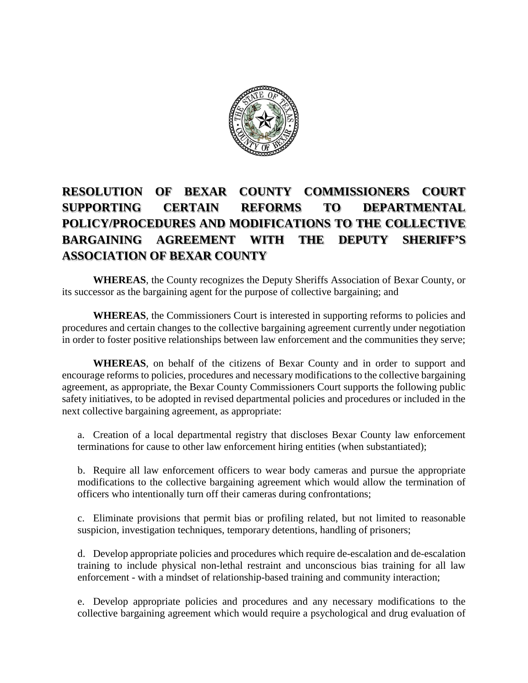

## **RESOLUTION OF BEXAR COUNTY COMMISSIONERS COURT SUPPORTING CERTAIN REFORMS TO DEPARTMENTAL POLICY/PROCEDURES AND MODIFICATIONS TO THE COLLECTIVE BARGAINING AGREEMENT WITH THE DEPUTY SHERIFF'S ASSOCIATION OF BEXAR COUNTY**

**WHEREAS**, the County recognizes the Deputy Sheriffs Association of Bexar County, or its successor as the bargaining agent for the purpose of collective bargaining; and

**WHEREAS**, the Commissioners Court is interested in supporting reforms to policies and procedures and certain changes to the collective bargaining agreement currently under negotiation in order to foster positive relationships between law enforcement and the communities they serve;

**WHEREAS**, on behalf of the citizens of Bexar County and in order to support and encourage reforms to policies, procedures and necessary modifications to the collective bargaining agreement, as appropriate, the Bexar County Commissioners Court supports the following public safety initiatives, to be adopted in revised departmental policies and procedures or included in the next collective bargaining agreement, as appropriate:

a. Creation of a local departmental registry that discloses Bexar County law enforcement terminations for cause to other law enforcement hiring entities (when substantiated);

b. Require all law enforcement officers to wear body cameras and pursue the appropriate modifications to the collective bargaining agreement which would allow the termination of officers who intentionally turn off their cameras during confrontations;

c. Eliminate provisions that permit bias or profiling related, but not limited to reasonable suspicion, investigation techniques, temporary detentions, handling of prisoners;

d. Develop appropriate policies and procedures which require de-escalation and de-escalation training to include physical non-lethal restraint and unconscious bias training for all law enforcement - with a mindset of relationship-based training and community interaction;

e. Develop appropriate policies and procedures and any necessary modifications to the collective bargaining agreement which would require a psychological and drug evaluation of